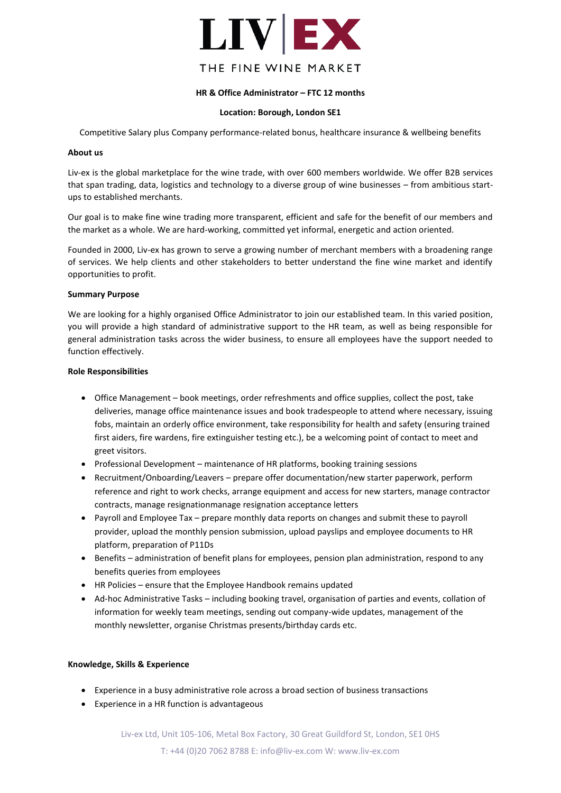

# **HR & Office Administrator – FTC 12 months**

## **Location: Borough, London SE1**

Competitive Salary plus Company performance-related bonus, healthcare insurance & wellbeing benefits

#### **About us**

Liv-ex is the global marketplace for the wine trade, with over 600 members worldwide. We offer B2B services that span trading, data, logistics and technology to a diverse group of wine businesses – from ambitious startups to established merchants.

Our goal is to make fine wine trading more transparent, efficient and safe for the benefit of our members and the market as a whole. We are hard-working, committed yet informal, energetic and action oriented.

Founded in 2000, Liv-ex has grown to serve a growing number of merchant members with a broadening range of services. We help clients and other stakeholders to better understand the fine wine market and identify opportunities to profit.

## **Summary Purpose**

We are looking for a highly organised Office Administrator to join our established team. In this varied position, you will provide a high standard of administrative support to the HR team, as well as being responsible for general administration tasks across the wider business, to ensure all employees have the support needed to function effectively.

## **Role Responsibilities**

- Office Management book meetings, order refreshments and office supplies, collect the post, take deliveries, manage office maintenance issues and book tradespeople to attend where necessary, issuing fobs, maintain an orderly office environment, take responsibility for health and safety (ensuring trained first aiders, fire wardens, fire extinguisher testing etc.), be a welcoming point of contact to meet and greet visitors.
- Professional Development maintenance of HR platforms, booking training sessions
- Recruitment/Onboarding/Leavers prepare offer documentation/new starter paperwork, perform reference and right to work checks, arrange equipment and access for new starters, manage contractor contracts, manage resignationmanage resignation acceptance letters
- Payroll and Employee Tax prepare monthly data reports on changes and submit these to payroll provider, upload the monthly pension submission, upload payslips and employee documents to HR platform, preparation of P11Ds
- Benefits administration of benefit plans for employees, pension plan administration, respond to any benefits queries from employees
- HR Policies ensure that the Employee Handbook remains updated
- Ad-hoc Administrative Tasks including booking travel, organisation of parties and events, collation of information for weekly team meetings, sending out company-wide updates, management of the monthly newsletter, organise Christmas presents/birthday cards etc.

#### **Knowledge, Skills & Experience**

- Experience in a busy administrative role across a broad section of business transactions
- Experience in a HR function is advantageous